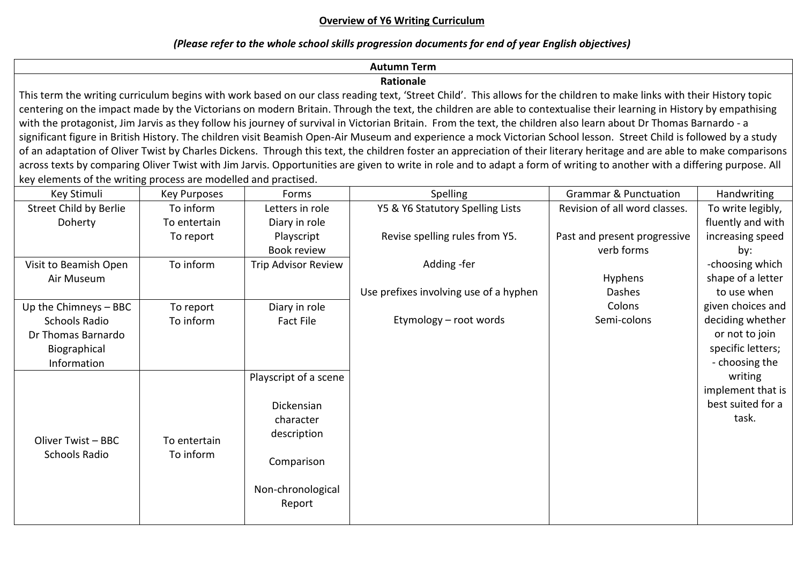### **Overview of Y6 Writing Curriculum**

# *(Please refer to the whole school skills progression documents for end of year English objectives)*

# **Autumn Term**

# **Rationale**

This term the writing curriculum begins with work based on our class reading text, 'Street Child'. This allows for the children to make links with their History topic centering on the impact made by the Victorians on modern Britain. Through the text, the children are able to contextualise their learning in History by empathising with the protagonist, Jim Jarvis as they follow his journey of survival in Victorian Britain. From the text, the children also learn about Dr Thomas Barnardo - a significant figure in British History. The children visit Beamish Open-Air Museum and experience a mock Victorian School lesson. Street Child is followed by a study of an adaptation of Oliver Twist by Charles Dickens. Through this text, the children foster an appreciation of their literary heritage and are able to make comparisons across texts by comparing Oliver Twist with Jim Jarvis. Opportunities are given to write in role and to adapt a form of writing to another with a differing purpose. All key elements of the writing process are modelled and practised.

| Key Stimuli                         | <b>Key Purposes</b>       | Forms                                                           | Spelling                               | <b>Grammar &amp; Punctuation</b> | <b>Handwriting</b>                                         |
|-------------------------------------|---------------------------|-----------------------------------------------------------------|----------------------------------------|----------------------------------|------------------------------------------------------------|
| Street Child by Berlie              | To inform                 | Letters in role                                                 | Y5 & Y6 Statutory Spelling Lists       | Revision of all word classes.    | To write legibly,                                          |
| Doherty                             | To entertain              | Diary in role                                                   |                                        |                                  | fluently and with                                          |
|                                     | To report                 | Playscript                                                      | Revise spelling rules from Y5.         | Past and present progressive     | increasing speed                                           |
|                                     |                           | Book review                                                     |                                        | verb forms                       | by:                                                        |
| Visit to Beamish Open               | To inform                 | <b>Trip Advisor Review</b>                                      | Adding -fer                            |                                  | -choosing which                                            |
| Air Museum                          |                           |                                                                 |                                        | Hyphens                          | shape of a letter                                          |
|                                     |                           |                                                                 | Use prefixes involving use of a hyphen | Dashes                           | to use when                                                |
| Up the Chimneys - BBC               | To report                 | Diary in role                                                   |                                        | Colons                           | given choices and                                          |
| Schools Radio<br>Dr Thomas Barnardo | To inform                 | Fact File                                                       | Etymology - root words                 | Semi-colons                      | deciding whether<br>or not to join<br>specific letters;    |
| Biographical<br>Information         |                           |                                                                 |                                        |                                  | - choosing the                                             |
| Oliver Twist - BBC<br>Schools Radio | To entertain<br>To inform | Playscript of a scene<br>Dickensian<br>character<br>description |                                        |                                  | writing<br>implement that is<br>best suited for a<br>task. |
|                                     |                           | Comparison                                                      |                                        |                                  |                                                            |
|                                     |                           | Non-chronological<br>Report                                     |                                        |                                  |                                                            |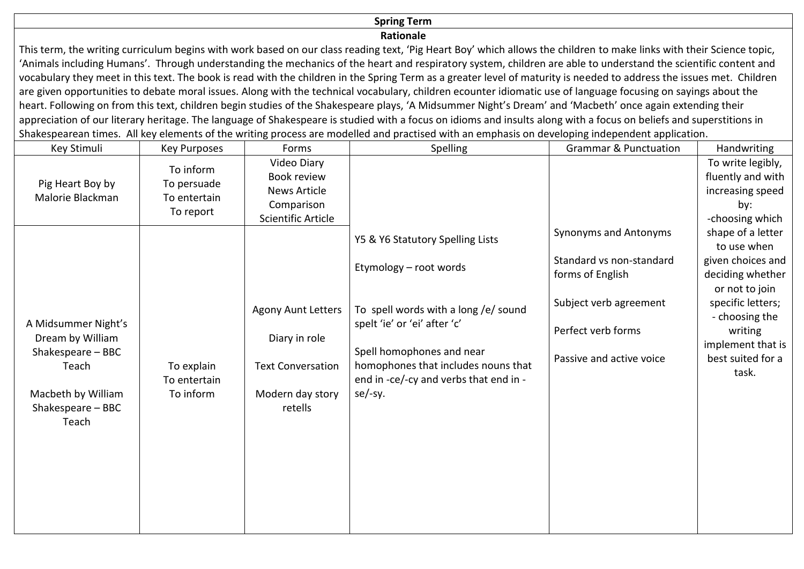### **Spring Term**

#### **Rationale**

This term, the writing curriculum begins with work based on our class reading text, 'Pig Heart Boy' which allows the children to make links with their Science topic, 'Animals including Humans'. Through understanding the mechanics of the heart and respiratory system, children are able to understand the scientific content and vocabulary they meet in this text. The book is read with the children in the Spring Term as a greater level of maturity is needed to address the issues met. Children are given opportunities to debate moral issues. Along with the technical vocabulary, children ecounter idiomatic use of language focusing on sayings about the heart. Following on from this text, children begin studies of the Shakespeare plays, 'A Midsummer Night's Dream' and 'Macbeth' once again extending their appreciation of our literary heritage. The language of Shakespeare is studied with a focus on idioms and insults along with a focus on beliefs and superstitions in Shakespearean times. All key elements of the writing process are modelled and practised with an emphasis on developing independent application.

| Key Stimuli                                                                                                               | <b>Key Purposes</b>                                   | Forms                                                                                                 | Spelling                                                                                                                                                                                                                                                    | <b>Grammar &amp; Punctuation</b>                                                                                                                  | Handwriting                                                                                                                                                                                      |
|---------------------------------------------------------------------------------------------------------------------------|-------------------------------------------------------|-------------------------------------------------------------------------------------------------------|-------------------------------------------------------------------------------------------------------------------------------------------------------------------------------------------------------------------------------------------------------------|---------------------------------------------------------------------------------------------------------------------------------------------------|--------------------------------------------------------------------------------------------------------------------------------------------------------------------------------------------------|
| Pig Heart Boy by<br>Malorie Blackman                                                                                      | To inform<br>To persuade<br>To entertain<br>To report | Video Diary<br>Book review<br><b>News Article</b><br>Comparison<br>Scientific Article                 |                                                                                                                                                                                                                                                             |                                                                                                                                                   | To write legibly,<br>fluently and with<br>increasing speed<br>by:<br>-choosing which                                                                                                             |
| A Midsummer Night's<br>Dream by William<br>Shakespeare - BBC<br>Teach<br>Macbeth by William<br>Shakespeare - BBC<br>Teach | To explain<br>To entertain<br>To inform               | <b>Agony Aunt Letters</b><br>Diary in role<br><b>Text Conversation</b><br>Modern day story<br>retells | Y5 & Y6 Statutory Spelling Lists<br>Etymology - root words<br>To spell words with a long /e/ sound<br>spelt 'ie' or 'ei' after 'c'<br>Spell homophones and near<br>homophones that includes nouns that<br>end in -ce/-cy and verbs that end in -<br>se/-sy. | Synonyms and Antonyms<br>Standard vs non-standard<br>forms of English<br>Subject verb agreement<br>Perfect verb forms<br>Passive and active voice | shape of a letter<br>to use when<br>given choices and<br>deciding whether<br>or not to join<br>specific letters;<br>- choosing the<br>writing<br>implement that is<br>best suited for a<br>task. |
|                                                                                                                           |                                                       |                                                                                                       |                                                                                                                                                                                                                                                             |                                                                                                                                                   |                                                                                                                                                                                                  |